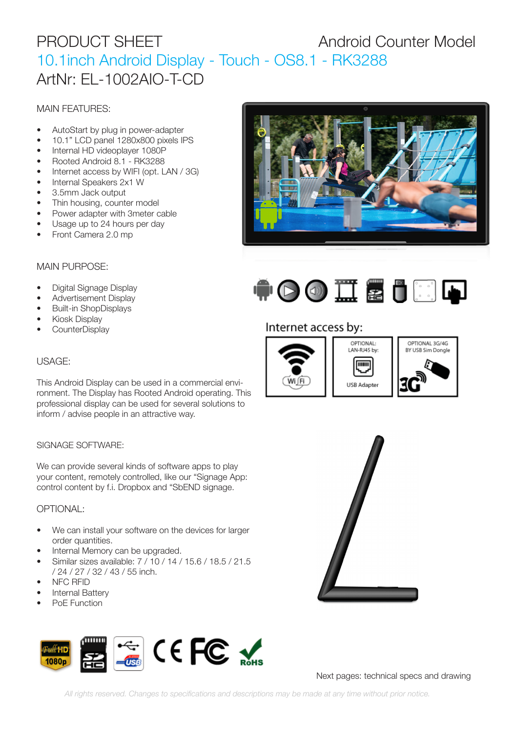# PRODUCT SHEET Android Counter Model 10.1inch Android Display - Touch - OS8.1 - RK3288 ArtNr: EL-1002AIO-T-CD

# MAIN FEATURES:

- AutoStart by plug in power-adapter
- 10.1" LCD panel 1280x800 pixels IPS
- Internal HD videoplayer 1080P
- Rooted Android 8.1 RK3288
- Internet access by WIFI (opt. LAN / 3G)
- Internal Speakers 2x1 W
- 3.5mm Jack output
- Thin housing, counter model
- Power adapter with 3meter cable
- Usage up to 24 hours per day
- Front Camera 2.0 mp

# MAIN PURPOSE:

- Digital Signage Display
- Advertisement Display
- Built-in ShopDisplays
- Kiosk Display
- CounterDisplay

## USAGE:

This Android Display can be used in a commercial environment. The Display has Rooted Android operating. This professional display can be used for several solutions to inform / advise people in an attractive way.

### SIGNAGE SOFTWARE:

We can provide several kinds of software apps to play your content, remotely controlled, like our "Signage App: control content by f.i. Dropbox and "SbEND signage.

## OPTIONAL:

- We can install your software on the devices for larger order quantities.
- Internal Memory can be upgraded.
- Similar sizes available: 7 / 10 / 14 / 15.6 / 18.5 / 21.5 / 24 / 27 / 32 / 43 / 55 inch.
- NFC RFID
- Internal Battery
- PoE Function







# Internet access by:





Next pages: technical specs and drawing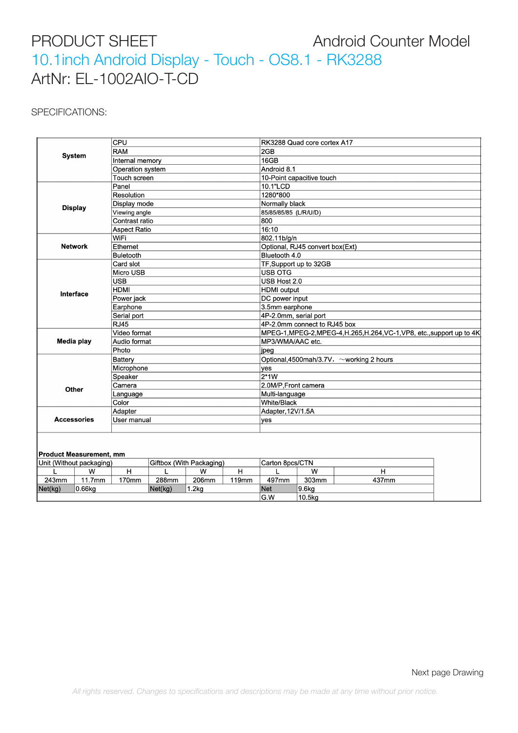# PRODUCT SHEET Android Counter Model 10.1inch Android Display - Touch - OS8.1 - RK3288 ArtNr: EL-1002AIO-T-CD

## SPECIFICATIONS:

| <b>System</b>                  |        | CPU                      |         |       |       | RK3288 Quad core cortex A17                                             |        |       |  |
|--------------------------------|--------|--------------------------|---------|-------|-------|-------------------------------------------------------------------------|--------|-------|--|
|                                |        | <b>RAM</b>               |         |       |       | 2GB                                                                     |        |       |  |
|                                |        | Internal memory          |         |       |       | 16GB                                                                    |        |       |  |
|                                |        | Operation system         |         |       |       | Android 8.1                                                             |        |       |  |
|                                |        | Touch screen             |         |       |       | 10-Point capacitive touch                                               |        |       |  |
|                                |        | Panel                    |         |       |       | 10.1"LCD                                                                |        |       |  |
| <b>Display</b>                 |        | Resolution               |         |       |       | 1280*800                                                                |        |       |  |
|                                |        | Display mode             |         |       |       | Normally black                                                          |        |       |  |
|                                |        | Viewing angle            |         |       |       | 85/85/85/85 (L/R/U/D)                                                   |        |       |  |
|                                |        | Contrast ratio           |         |       |       | 800                                                                     |        |       |  |
|                                |        | <b>Aspect Ratio</b>      |         |       |       | 16:10                                                                   |        |       |  |
| <b>Network</b>                 |        | WiFi                     |         |       |       | 802.11b/g/n                                                             |        |       |  |
|                                |        | Ethernet                 |         |       |       | Optional, RJ45 convert box(Ext)                                         |        |       |  |
|                                |        | <b>Buletooth</b>         |         |       |       | Bluetooth 4.0                                                           |        |       |  |
|                                |        | Card slot                |         |       |       | TF, Support up to 32GB                                                  |        |       |  |
| Interface                      |        | Micro USB                |         |       |       | <b>USB OTG</b>                                                          |        |       |  |
|                                |        | <b>USB</b>               |         |       |       | USB Host 2.0                                                            |        |       |  |
|                                |        | <b>HDMI</b>              |         |       |       | <b>HDMI</b> output                                                      |        |       |  |
|                                |        | Power jack               |         |       |       | DC power input                                                          |        |       |  |
|                                |        | Earphone                 |         |       |       | 3.5mm earphone                                                          |        |       |  |
|                                |        | Serial port              |         |       |       | 4P-2.0mm, serial port                                                   |        |       |  |
|                                |        | <b>RJ45</b>              |         |       |       | 4P-2.0mm connect to RJ45 box                                            |        |       |  |
| Media play                     |        | Video format             |         |       |       | MPEG-1, MPEG-2, MPEG-4, H.265, H.264, VC-1, VP8, etc., support up to 4K |        |       |  |
|                                |        | Audio format             |         |       |       | MP3/WMA/AAC etc.                                                        |        |       |  |
|                                |        | Photo                    |         |       |       | jpeg                                                                    |        |       |  |
| Other                          |        | Battery                  |         |       |       | Optional, 4500mah/3.7V, ~working 2 hours                                |        |       |  |
|                                |        | Microphone               |         |       |       | yes                                                                     |        |       |  |
|                                |        | Speaker                  |         |       |       | $2*1W$                                                                  |        |       |  |
|                                |        | Camera                   |         |       |       | 2.0M/P, Front camera                                                    |        |       |  |
|                                |        | Language                 |         |       |       | Multi-language                                                          |        |       |  |
|                                |        | Color                    |         |       |       | <b>White/Black</b>                                                      |        |       |  |
| <b>Accessories</b>             |        | Adapter                  |         |       |       | Adapter, 12V/1.5A                                                       |        |       |  |
|                                |        | User manual              |         |       |       | yes                                                                     |        |       |  |
|                                |        |                          |         |       |       |                                                                         |        |       |  |
|                                |        |                          |         |       |       |                                                                         |        |       |  |
|                                |        |                          |         |       |       |                                                                         |        |       |  |
| <b>Product Measurement, mm</b> |        | Giftbox (With Packaging) |         |       |       | Carton 8pcs/CTN                                                         |        |       |  |
| Unit (Without packaging)       |        |                          |         |       |       |                                                                         |        |       |  |
| L                              | w      | H                        | L       | W     | H     | L                                                                       | W      | H     |  |
| 243mm                          | 11.7mm | 170mm                    | 288mm   | 206mm | 119mm | 497mm                                                                   | 303mm  | 437mm |  |
| Net(kg)                        | 0.66kg |                          | Net(kg) | 1.2kg |       | Net                                                                     | 9.6kg  |       |  |
|                                |        |                          |         |       |       | G.W                                                                     | 10.5kg |       |  |